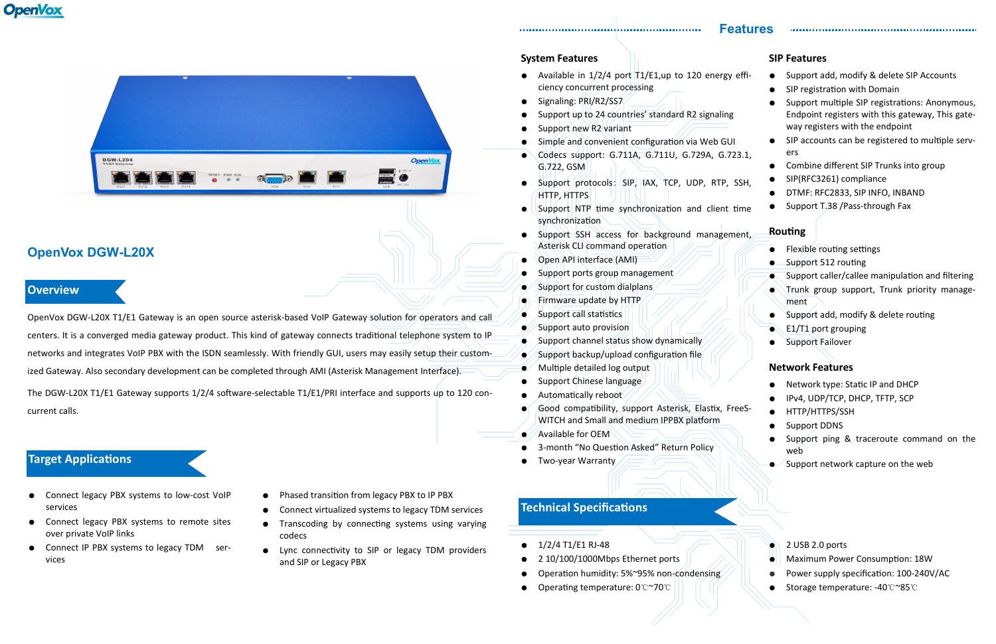# **OpenVox**



## **OpenVox DGW-L20X**

#### **Features**

#### **Overview**

### **Target Applications**

#### **System Features**

• Available in  $1/2/4$  port  $1/2$  = 1, up to 120 energy ciency concurrent processing

- Signaling: PRI/R2/SS7
- Support up to 24 countries' standard R2 signaling
- Support new R2 variant
- Simple and convenient configuration via Web GUI
- Codecs support: G.711A, G.711U, G.729A, G.72 G.722, GSM
- $\bullet$  Support protocols: SIP, IAX, TCP, UDP, RTP, HTTP, HTTPS
- $\bullet$  Support NTP time synchronization and client synchronization
- **.** Support SSH access for background management Asterisk CLI command operation
- Open API interface (AMI)
- Support ports group management
- Support for custom dialplans
- Firmware update by HTTP
- Support call statistics
- $\sim$  Support auto provision
- $\bullet$  Support channel status show dynamically
- $\bullet$  Support backup/upload configuration file
- Multiple detailed log output
- Support Chinese language
- Automatically reboot
- Good compatibility, support Asterisk, Elastix, Fr WITCH and Small and medium IPPBX platform
- $\triangle$  Available for OEM
- 3-month "No Question Asked" Return Policy
- Two-year Warranty

|       | <b>SIP Features</b>                                                |  |  |
|-------|--------------------------------------------------------------------|--|--|
| effi- | Support add, modify & delete SIP Accounts                          |  |  |
|       | SIP registration with Domain                                       |  |  |
|       | Support multiple SIP registrations: Anonymous,                     |  |  |
|       | Endpoint registers with this gateway, This gate-                   |  |  |
|       | way registers with the endpoint                                    |  |  |
|       | SIP accounts can be registered to multiple serv-                   |  |  |
| 23.1, | ers                                                                |  |  |
|       | Combine different SIP Trunks into group                            |  |  |
| SSH,  | SIP(RFC3261) compliance                                            |  |  |
|       | DTMF: RFC2833, SIP INFO, INBAND<br>Support T.38 / Pass-through Fax |  |  |
| time  |                                                                    |  |  |
|       | Routing                                                            |  |  |
| ient, |                                                                    |  |  |
|       | Flexible routing settings                                          |  |  |
|       | Support 512 routing                                                |  |  |
|       | Support caller/callee manipulation and filtering                   |  |  |
|       | Trunk group support, Trunk priority manage-<br>ment                |  |  |
|       | Support add, modify & delete routing                               |  |  |
|       | E1/T1 port grouping                                                |  |  |
|       | Support Failover                                                   |  |  |
|       |                                                                    |  |  |
|       | <b>Network Features</b>                                            |  |  |
|       | Network type: Static IP and DHCP                                   |  |  |
|       | IPv4, UDP/TCP, DHCP, TFTP, SCP                                     |  |  |
| eeS-  | HTTP/HTTPS/SSH                                                     |  |  |
|       | <b>Support DDNS</b>                                                |  |  |
|       | Support ping & traceroute command on the<br>wéb                    |  |  |
|       | Support network capture on the web                                 |  |  |
|       |                                                                    |  |  |
|       |                                                                    |  |  |

- Connect legacy PBX systems to low-cost VoIP services
- Connect legacy PBX systems to remote sites over private VoIP links
- Connect IP PBX systems to legacy TDM services
- Phased transition from legacy PBX to IP PBX
- Connect virtualized systems to legacy TDM services
- Transcoding by connecting systems using varying codecs
- Lync connectivity to SIP or legacy TDM providers and SIP or Legacy PBX
- 1/2/4 T1/E1 RJ-48
- 2 10/100/1000Mbps Ethernet ports
- Operation humidity: 5%~95% non-condensing
- Operating temperature: 0℃~70℃

- 2 USB 2.0 ports
- **Maximum Power Consumption: 18W**
- Power supply specification: 100-240V/AC
- Storage temperature: -40℃~85℃

#### **Technical Specifications**

OpenVox DGW-L20X T1/E1 Gateway is an open source asterisk-based VoIP Gateway solution for operators and call centers. It is a converged media gateway product. This kind of gateway connects traditional telephone system to IP networks and integrates VoIP PBX with the ISDN seamlessly. With friendly GUI, users may easily setup their customized Gateway. Also secondary development can be completed through AMI (Asterisk Management Interface).

The DGW-L20X T1/E1 Gateway supports 1/2/4 software-selectable T1/E1/PRI interface and supports up to 120 concurrent calls.